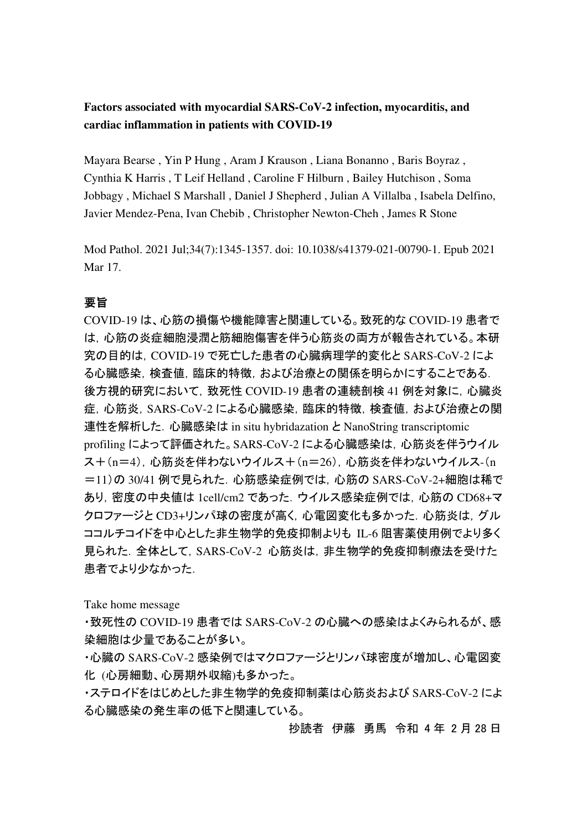**Factors associated with myocardial SARS-CoV-2 infection, myocarditis, and cardiac inflammation in patients with COVID-19** 

Mayara Bearse , Yin P Hung , Aram J Krauson , Liana Bonanno , Baris Boyraz , Cynthia K Harris , T Leif Helland , Caroline F Hilburn , Bailey Hutchison , Soma Jobbagy , Michael S Marshall , Daniel J Shepherd , Julian A Villalba , Isabela Delfino, Javier Mendez-Pena, Ivan Chebib , Christopher Newton-Cheh , James R Stone

Mod Pathol. 2021 Jul;34(7):1345-1357. doi: 10.1038/s41379-021-00790-1. Epub 2021 Mar 17.

## 要旨

COVID-19 は、心筋の損傷や機能障害と関連している。致死的な COVID-19 患者で は,心筋の炎症細胞浸潤と筋細胞傷害を伴う心筋炎の両方が報告されている。本研 究の目的は,COVID-19 で死亡した患者の心臓病理学的変化と SARS-CoV-2 によ る心臓感染,検査値,臨床的特徴,および治療との関係を明らかにすることである. 後方視的研究において,致死性 COVID-19 患者の連続剖検 41 例を対象に,心臓炎 症,心筋炎,SARS-CoV-2 による心臓感染,臨床的特徴,検査値,および治療との関 連性を解析した.心臓感染は in situ hybridazation と NanoString transcriptomic profiling によって評価された。SARS-CoV-2 による心臓感染は,心筋炎を伴うウイル ス+(n=4),心筋炎を伴わないウイルス+(n=26),心筋炎を伴わないウイルス-(n =11)の 30/41 例で見られた.心筋感染症例では,心筋の SARS-CoV-2+細胞は稀で あり,密度の中央値は 1cell/cm2 であった.ウイルス感染症例では,心筋の CD68+マ クロファージと CD3+リンパ球の密度が高く,心電図変化も多かった.心筋炎は,グル ココルチコイドを中心とした非生物学的免疫抑制よりも IL-6 阻害薬使用例でより多く 見られた.全体として, SARS-CoV-2 心筋炎は, 非生物学的免疫抑制療法を受けた 患者でより少なかった.

Take home message

・致死性の COVID-19 患者では SARS-CoV-2 の心臓への感染はよくみられるが、感 染細胞は少量であることが多い。

・心臓の SARS-CoV-2 感染例ではマクロファージとリンパ球密度が増加し、心電図変 化 (心房細動、心房期外収縮)も多かった。

・ステロイドをはじめとした非生物学的免疫抑制薬は心筋炎および SARS-CoV-2 によ る心臓感染の発生率の低下と関連している。

抄読者 伊藤 勇馬 令和 4 年 2 月 28 日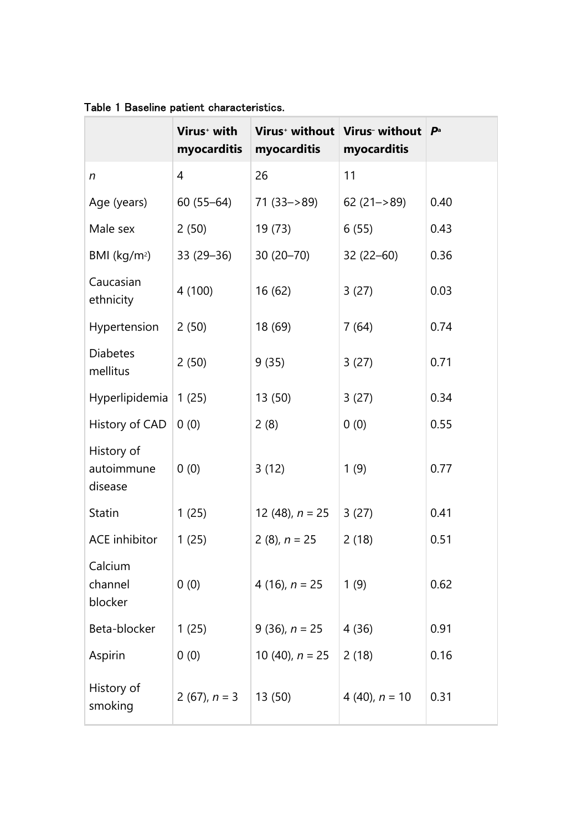|                                     | Virus <sup>+</sup> with<br>myocarditis | myocarditis       | Virus <sup>+</sup> without   Virus <sup>-</sup> without<br>myocarditis | $\mathbf{P}^{\mathrm{a}}$ |
|-------------------------------------|----------------------------------------|-------------------|------------------------------------------------------------------------|---------------------------|
| n                                   | 4                                      | 26                | 11                                                                     |                           |
| Age (years)                         | $60(55 - 64)$                          | $71(33 - 89)$     | $62(21 - > 89)$                                                        | 0.40                      |
| Male sex                            | 2(50)                                  | 19 (73)           | 6(55)                                                                  | 0.43                      |
| BMI ( $kg/m2$ )                     | $33(29 - 36)$                          | $30(20 - 70)$     | $32(22 - 60)$                                                          | 0.36                      |
| Caucasian<br>ethnicity              | 4 (100)                                | 16(62)            | 3(27)                                                                  | 0.03                      |
| Hypertension                        | 2(50)                                  | 18 (69)           | 7(64)                                                                  | 0.74                      |
| <b>Diabetes</b><br>mellitus         | 2(50)                                  | 9(35)             | 3(27)                                                                  | 0.71                      |
| Hyperlipidemia                      | 1(25)                                  | 13 (50)           | 3(27)                                                                  | 0.34                      |
| History of CAD                      | 0(0)                                   | 2(8)              | 0(0)                                                                   | 0.55                      |
| History of<br>autoimmune<br>disease | 0(0)                                   | 3(12)             | 1(9)                                                                   | 0.77                      |
| <b>Statin</b>                       | 1(25)                                  | 12 (48), $n = 25$ | 3(27)                                                                  | 0.41                      |
| <b>ACE</b> inhibitor                | 1(25)                                  | 2 (8), $n = 25$   | 2(18)                                                                  | 0.51                      |
| Calcium<br>channel<br>blocker       | 0(0)                                   | 4 (16), $n = 25$  | 1(9)                                                                   | 0.62                      |
| Beta-blocker                        | 1(25)                                  | 9 (36), $n = 25$  | 4 (36)                                                                 | 0.91                      |
| Aspirin                             | 0(0)                                   | 10 (40), $n = 25$ | 2(18)                                                                  | 0.16                      |
| History of<br>smoking               | 2 (67), $n = 3$                        | 13(50)            | 4 (40), $n = 10$                                                       | 0.31                      |

Table 1 Baseline patient characteristics.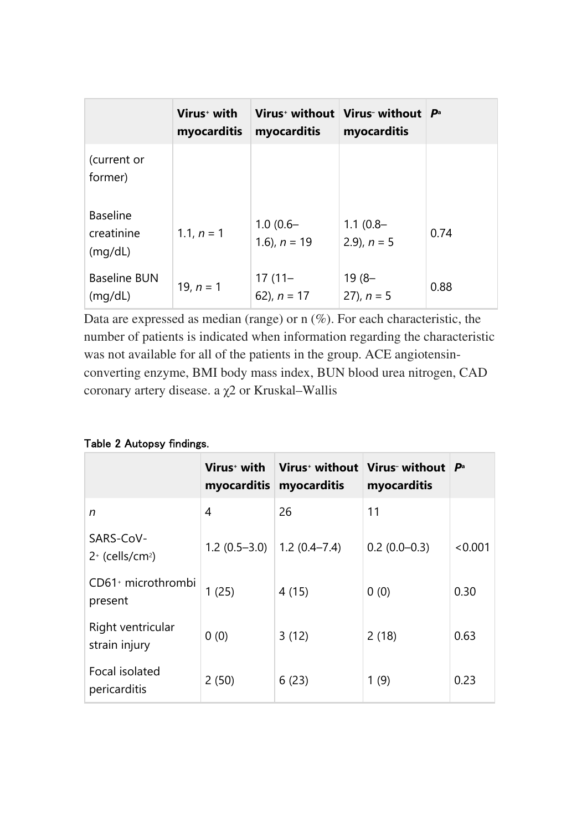|                                          | Virus <sup>+</sup> with<br>myocarditis | myocarditis                   | Virus without   Virus without $\mathsf{P}^{\mathsf{a}}$<br>myocarditis |      |
|------------------------------------------|----------------------------------------|-------------------------------|------------------------------------------------------------------------|------|
| (current or<br>former)                   |                                        |                               |                                                                        |      |
| <b>Baseline</b><br>creatinine<br>(mq/dL) | 1.1, $n = 1$                           | $1.0(0.6 -$<br>1.6), $n = 19$ | $1.1(0.8 -$<br>2.9), $n = 5$                                           | 0.74 |
| <b>Baseline BUN</b><br>(mq/dL)           | 19, $n = 1$                            | $17(11 -$<br>62), $n = 17$    | $19(8 -$<br>27), $n = 5$                                               | 0.88 |

Data are expressed as median (range) or n (%). For each characteristic, the number of patients is indicated when information regarding the characteristic was not available for all of the patients in the group. ACE angiotensinconverting enzyme, BMI body mass index, BUN blood urea nitrogen, CAD coronary artery disease. a χ2 or Kruskal–Wallis

|  |  | Table 2 Autopsy findings. |  |
|--|--|---------------------------|--|
|--|--|---------------------------|--|

|                                             | Virus <sup>+</sup> with<br>myocarditis | $\mid$ Virus $^{\scriptscriptstyle +}$ without $\mid$ Virus- without $\mid$<br>myocarditis | myocarditis    | $\mathbf{p}_a$ |
|---------------------------------------------|----------------------------------------|--------------------------------------------------------------------------------------------|----------------|----------------|
| n                                           | 4                                      | 26                                                                                         | 11             |                |
| SARS-CoV-<br>$2^+$ (cells/cm <sup>2</sup> ) | 1.2 $(0.5-3.0)$   1.2 $(0.4-7.4)$      |                                                                                            | $0.2(0.0-0.3)$ | < 0.001        |
| CD61 <sup>+</sup> microthrombi<br>present   | 1(25)                                  | 4(15)                                                                                      | 0(0)           | 0.30           |
| Right ventricular<br>strain injury          | 0(0)                                   | 3(12)                                                                                      | 2(18)          | 0.63           |
| Focal isolated<br>pericarditis              | 2(50)                                  | 6(23)                                                                                      | 1(9)           | 0.23           |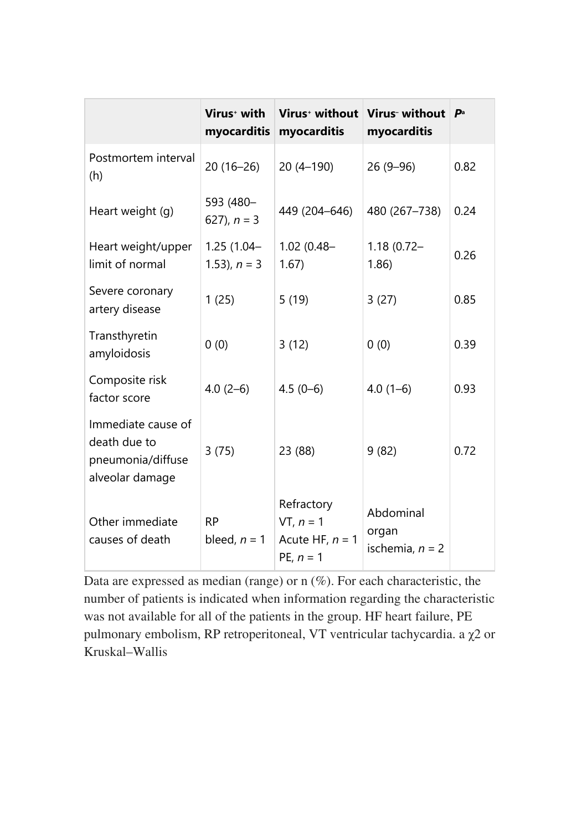|                                                                            | Virus <sup>+</sup> with<br>myocarditis | Virus <sup>+</sup> without<br>myocarditis                     | Virus- without<br>myocarditis           | $\mathbf{p}_a$ |
|----------------------------------------------------------------------------|----------------------------------------|---------------------------------------------------------------|-----------------------------------------|----------------|
| Postmortem interval<br>(h)                                                 | $20(16-26)$                            | $20(4-190)$                                                   | $26(9-96)$                              | 0.82           |
| Heart weight (g)                                                           | 593 (480-<br>627), $n = 3$             | 449 (204-646)                                                 | 480 (267-738)                           | 0.24           |
| Heart weight/upper<br>limit of normal                                      | $1.25(1.04 -$<br>1.53), $n = 3$        | $1.02(0.48 -$<br>1.67)                                        | $1.18(0.72 -$<br>1.86                   | 0.26           |
| Severe coronary<br>artery disease                                          | 1(25)                                  | 5(19)                                                         | 3(27)                                   | 0.85           |
| Transthyretin<br>amyloidosis                                               | 0(0)                                   | 3(12)                                                         | 0(0)                                    | 0.39           |
| Composite risk<br>factor score                                             | $4.0(2-6)$                             | $4.5(0-6)$                                                    | $4.0(1-6)$                              | 0.93           |
| Immediate cause of<br>death due to<br>pneumonia/diffuse<br>alveolar damage | 3(75)                                  | 23 (88)                                                       | 9(82)                                   | 0.72           |
| Other immediate<br>causes of death                                         | <b>RP</b><br>bleed, $n = 1$            | Refractory<br>$VT, n = 1$<br>Acute HF, $n = 1$<br>PE, $n = 1$ | Abdominal<br>organ<br>ischemia, $n = 2$ |                |

Data are expressed as median (range) or n (%). For each characteristic, the number of patients is indicated when information regarding the characteristic was not available for all of the patients in the group. HF heart failure, PE pulmonary embolism, RP retroperitoneal, VT ventricular tachycardia. a χ2 or Kruskal–Wallis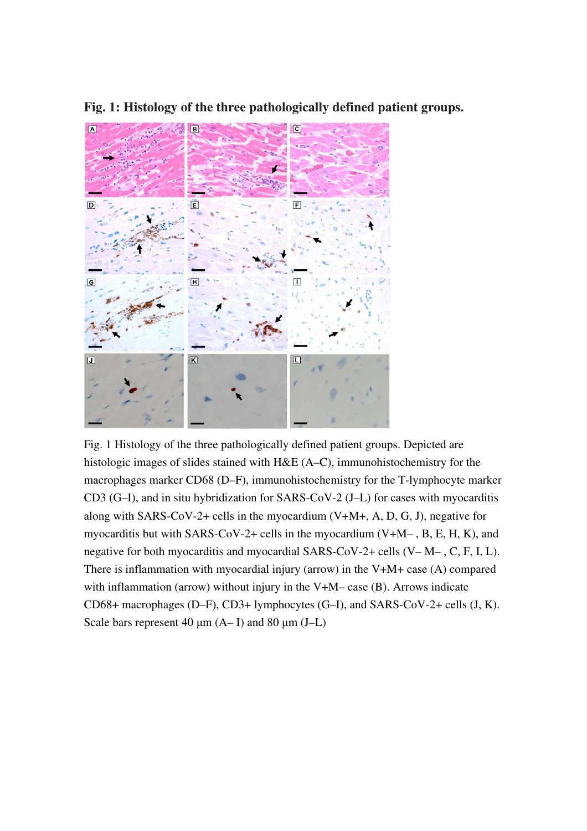

**Fig. 1: Histology of the three pathologically defined patient groups.** 

Fig. 1 Histology of the three pathologically defined patient groups. Depicted are histologic images of slides stained with H&E (A–C), immunohistochemistry for the macrophages marker CD68 (D–F), immunohistochemistry for the T-lymphocyte marker CD3 (G–I), and in situ hybridization for SARS-CoV-2 (J–L) for cases with myocarditis along with SARS-CoV-2+ cells in the myocardium  $(V+M+$ , A, D, G, J), negative for myocarditis but with SARS-CoV-2+ cells in the myocardium  $(V+M-$ , B, E, H, K), and negative for both myocarditis and myocardial SARS-CoV-2+ cells (V– M– , C, F, I, L). There is inflammation with myocardial injury (arrow) in the V+M+ case (A) compared with inflammation (arrow) without injury in the V+M– case (B). Arrows indicate CD68+ macrophages (D–F), CD3+ lymphocytes (G–I), and SARS-CoV-2+ cells (J, K). Scale bars represent 40  $\mu$ m (A– I) and 80  $\mu$ m (J–L)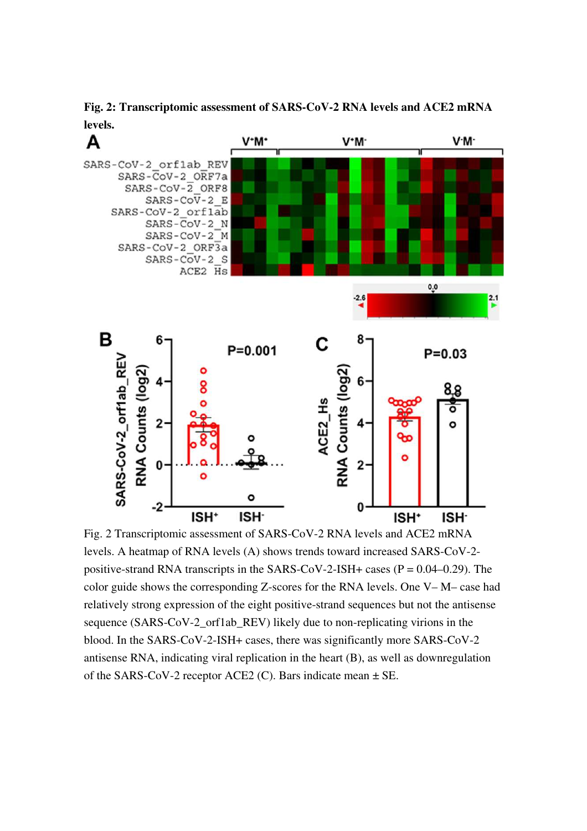**Fig. 2: Transcriptomic assessment of SARS-CoV-2 RNA levels and ACE2 mRNA levels.** 



Fig. 2 Transcriptomic assessment of SARS-CoV-2 RNA levels and ACE2 mRNA levels. A heatmap of RNA levels (A) shows trends toward increased SARS-CoV-2 positive-strand RNA transcripts in the SARS-CoV-2-ISH+ cases  $(P = 0.04 - 0.29)$ . The color guide shows the corresponding Z-scores for the RNA levels. One V– M– case had relatively strong expression of the eight positive-strand sequences but not the antisense sequence (SARS-CoV-2 orf1ab REV) likely due to non-replicating virions in the blood. In the SARS-CoV-2-ISH+ cases, there was significantly more SARS-CoV-2 antisense RNA, indicating viral replication in the heart (B), as well as downregulation of the SARS-CoV-2 receptor ACE2 (C). Bars indicate mean  $\pm$  SE.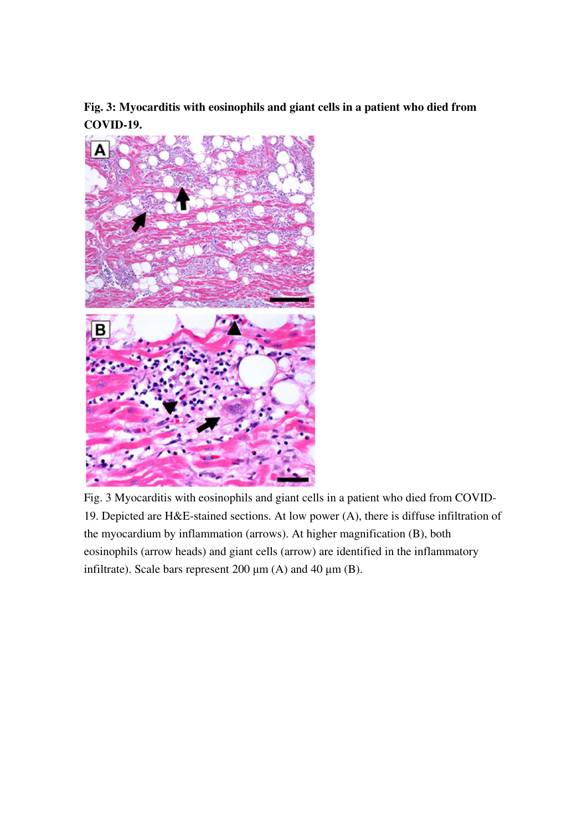**Fig. 3: Myocarditis with eosinophils and giant cells in a patient who died from COVID-19.** 



Fig. 3 Myocarditis with eosinophils and giant cells in a patient who died from COVID-19. Depicted are H&E-stained sections. At low power (A), there is diffuse infiltration of the myocardium by inflammation (arrows). At higher magnification (B), both eosinophils (arrow heads) and giant cells (arrow) are identified in the inflammatory infiltrate). Scale bars represent 200  $\mu$ m (A) and 40  $\mu$ m (B).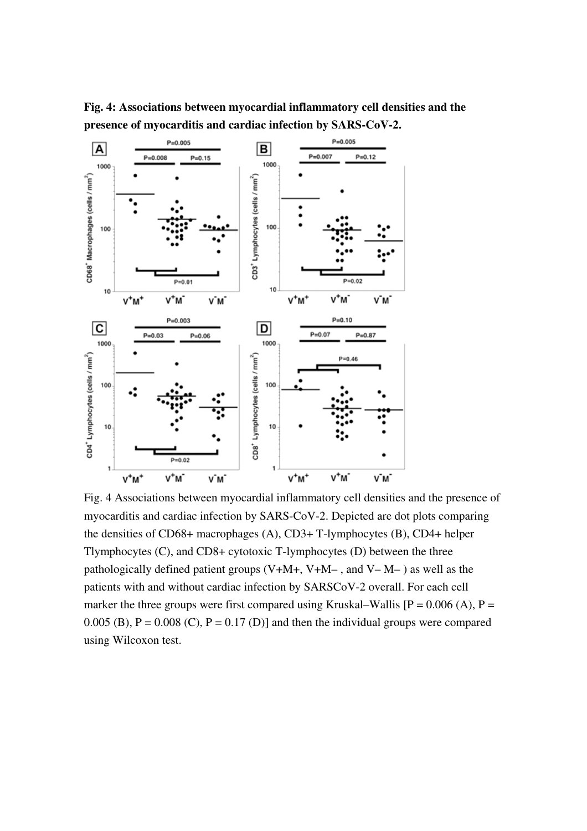

**Fig. 4: Associations between myocardial inflammatory cell densities and the presence of myocarditis and cardiac infection by SARS-CoV-2.** 

Fig. 4 Associations between myocardial inflammatory cell densities and the presence of myocarditis and cardiac infection by SARS-CoV-2. Depicted are dot plots comparing the densities of CD68+ macrophages (A), CD3+ T-lymphocytes (B), CD4+ helper Tlymphocytes (C), and CD8+ cytotoxic T-lymphocytes (D) between the three pathologically defined patient groups  $(V+M+$ ,  $V+M-$ , and  $V-M-$ ) as well as the patients with and without cardiac infection by SARSCoV-2 overall. For each cell marker the three groups were first compared using Kruskal–Wallis  $[P = 0.006(A), P =$ 0.005 (B),  $P = 0.008$  (C),  $P = 0.17$  (D)] and then the individual groups were compared using Wilcoxon test.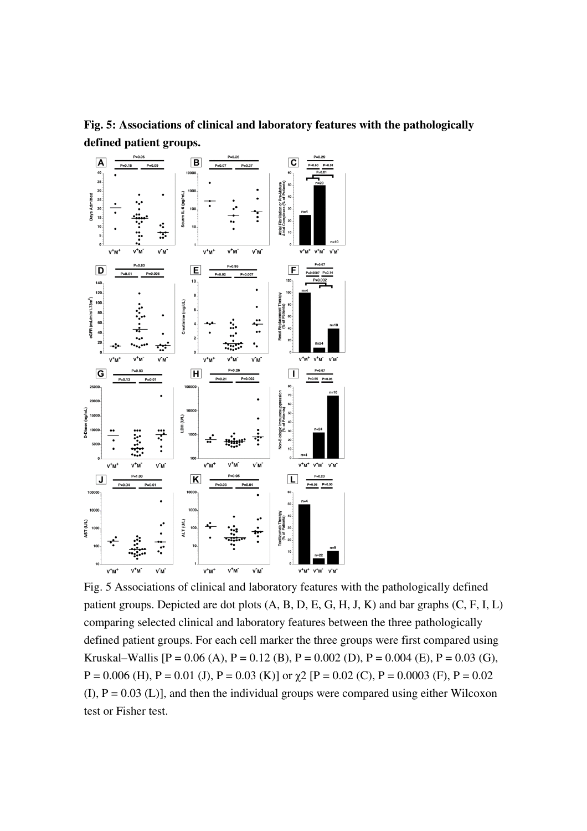

**Fig. 5: Associations of clinical and laboratory features with the pathologically defined patient groups.** 

Fig. 5 Associations of clinical and laboratory features with the pathologically defined patient groups. Depicted are dot plots (A, B, D, E, G, H, J, K) and bar graphs (C, F, I, L) comparing selected clinical and laboratory features between the three pathologically defined patient groups. For each cell marker the three groups were first compared using Kruskal–Wallis  $[P = 0.06 (A), P = 0.12 (B), P = 0.002 (D), P = 0.004 (E), P = 0.03 (G),$  $P = 0.006$  (H),  $P = 0.01$  (J),  $P = 0.03$  (K)] or  $\gamma$ 2 [P = 0.02 (C),  $P = 0.0003$  (F),  $P = 0.02$  $(I)$ ,  $P = 0.03$  (L), and then the individual groups were compared using either Wilcoxon test or Fisher test.